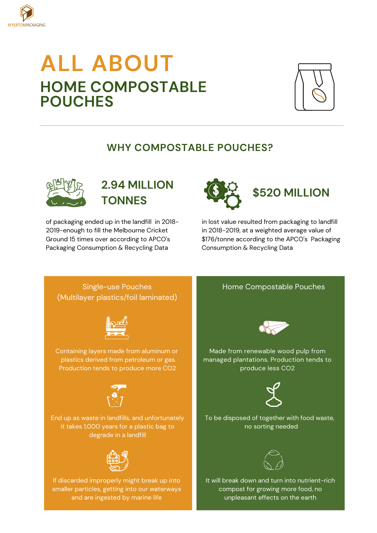

# **ALL ABOUT HOME COMPOSTABLE POUCHES**



### **WHY COMPOSTABLE POUCHES?**



## **2.94 MILLION TONNES**

of packaging ended up in the landfill in 2018- 2019-enough to fill the Melbourne Cricket Ground 15 times over according to APCO's Packaging Consumption & Recycling Data



in lost value resulted from packaging to landfill in 2018-2019, at a weighted average value of \$176/tonne according to the APCO's Packaging Consumption & Recycling Data

Single-use Pouches (Multilayer plastics/foil laminated)



Containing layers made from aluminum or plastics derived from petroleum or gas. Production tends to produce more CO2



End up as waste in landfills, and unfortunately it takes 1,000 years for a plastic bag to degrade in a landfill



If discarded improperly might break up into smaller particles, getting into our waterways and are ingested by marine life

#### Home Compostable Pouches



Made from renewable wood pulp from managed plantations. Production tends to produce less CO2



To be disposed of together with food waste, no sorting needed



It will break down and turn into nutrient-rich compost for growing more food, no unpleasant effects on the earth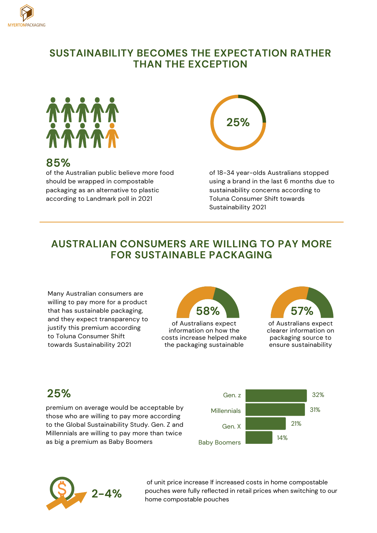

#### **SUSTAINABILITY BECOMES THE EXPECTATION RATHER THAN THE EXCEPTION**



#### **85%**

of the Australian public believe more food should be wrapped in compostable packaging as an alternative to plastic according to Landmark poll in 2021



of 18-34 year-olds Australians stopped using a brand in the last 6 months due to sustainability concerns according to Toluna Consumer Shift towards Sustainability 2021

### **AUSTRALIAN CONSUMERS ARE WILLING TO PAY MORE FOR SUSTAINABLE PACKAGING**

Many Australian consumers are willing to pay more for a product that has sustainable packaging, and they expect transparency to justify this premium according to Toluna Consumer Shift towards Sustainability 2021



of Australians expect information on how the costs increase helped make the packaging sustainable



of Australians expect clearer information on packaging source to ensure sustainability

## **25%**

premium on average would be acceptable by those who are willing to pay more according to the Global Sustainability Study. Gen. Z and Millennials are willing to pay more than twice as big a premium as Baby Boomers





of unit price increase If increased costs in home compostable pouches were fully reflected in retail prices when switching to our home compostable pouches